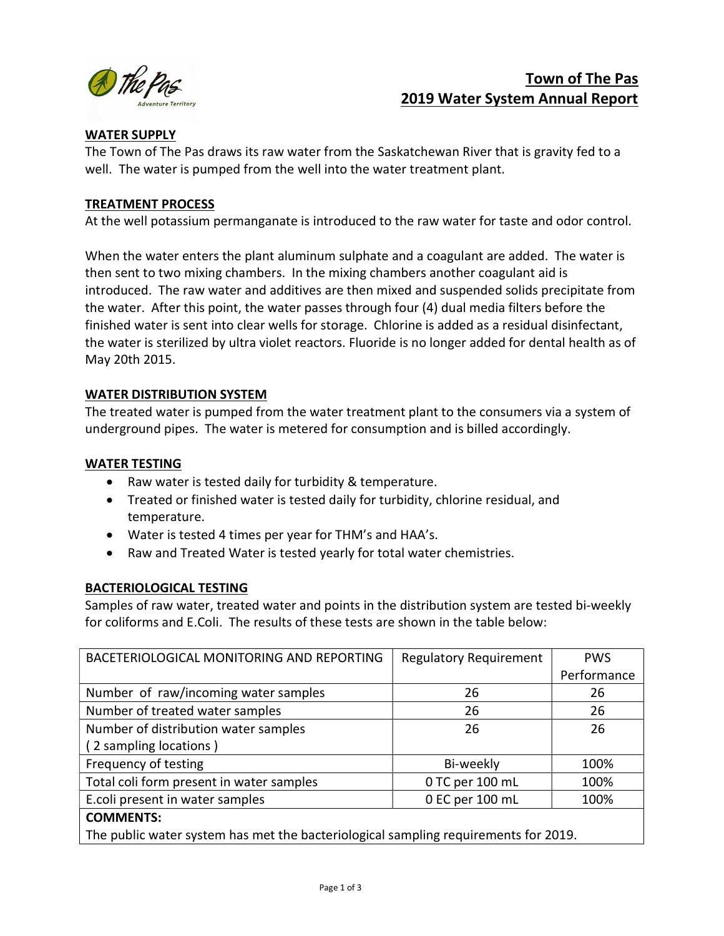

# Town of The Pas 2019 Water System Annual Report

## WATER SUPPLY

The Town of The Pas draws its raw water from the Saskatchewan River that is gravity fed to a well. The water is pumped from the well into the water treatment plant.

## TREATMENT PROCESS

At the well potassium permanganate is introduced to the raw water for taste and odor control.

When the water enters the plant aluminum sulphate and a coagulant are added. The water is then sent to two mixing chambers. In the mixing chambers another coagulant aid is introduced. The raw water and additives are then mixed and suspended solids precipitate from the water. After this point, the water passes through four (4) dual media filters before the finished water is sent into clear wells for storage. Chlorine is added as a residual disinfectant, the water is sterilized by ultra violet reactors. Fluoride is no longer added for dental health as of May 20th 2015.

## WATER DISTRIBUTION SYSTEM

The treated water is pumped from the water treatment plant to the consumers via a system of underground pipes. The water is metered for consumption and is billed accordingly.

## WATER TESTING

- Raw water is tested daily for turbidity & temperature.
- Treated or finished water is tested daily for turbidity, chlorine residual, and temperature.
- Water is tested 4 times per year for THM's and HAA's.
- Raw and Treated Water is tested yearly for total water chemistries.

## BACTERIOLOGICAL TESTING

Samples of raw water, treated water and points in the distribution system are tested bi-weekly for coliforms and E.Coli. The results of these tests are shown in the table below:

| BACETERIOLOGICAL MONITORING AND REPORTING                                           | <b>Regulatory Requirement</b> | <b>PWS</b>  |  |  |  |
|-------------------------------------------------------------------------------------|-------------------------------|-------------|--|--|--|
|                                                                                     |                               | Performance |  |  |  |
| Number of raw/incoming water samples                                                | 26                            | 26          |  |  |  |
| Number of treated water samples                                                     | 26                            | 26          |  |  |  |
| Number of distribution water samples                                                | 26                            | 26          |  |  |  |
| (2 sampling locations)                                                              |                               |             |  |  |  |
| Frequency of testing                                                                | Bi-weekly                     | 100%        |  |  |  |
| Total coli form present in water samples                                            | 0 TC per 100 mL               | 100%        |  |  |  |
| E.coli present in water samples                                                     | 0 EC per 100 mL               | 100%        |  |  |  |
| <b>COMMENTS:</b>                                                                    |                               |             |  |  |  |
| The public water system has met the bacteriological sampling requirements for 2019. |                               |             |  |  |  |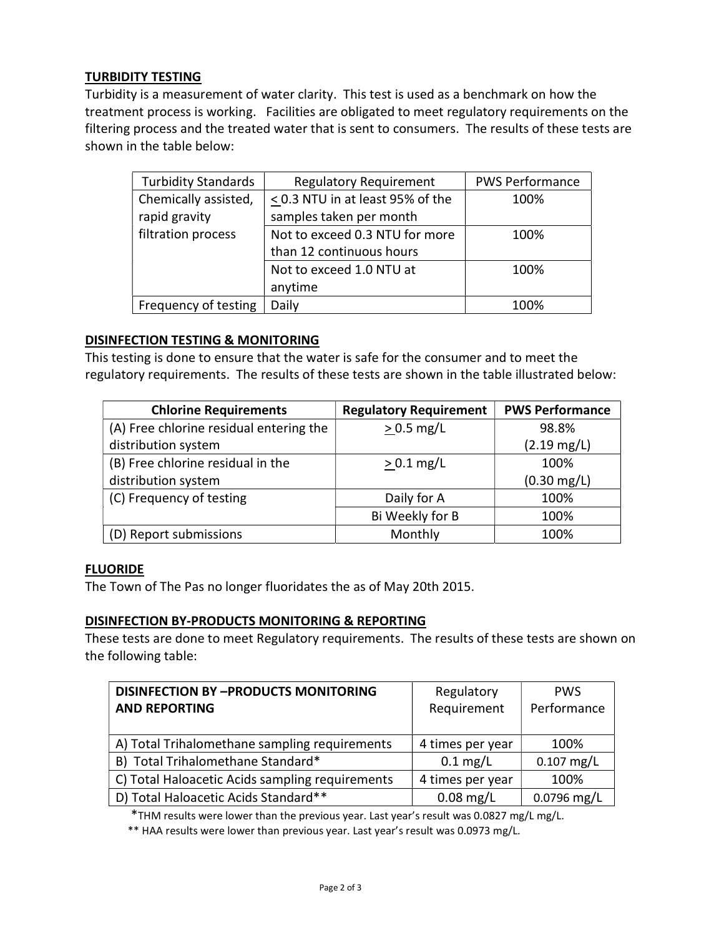# TURBIDITY TESTING

Turbidity is a measurement of water clarity. This test is used as a benchmark on how the treatment process is working. Facilities are obligated to meet regulatory requirements on the filtering process and the treated water that is sent to consumers. The results of these tests are shown in the table below:

| <b>Turbidity Standards</b> | <b>Regulatory Requirement</b>         | <b>PWS Performance</b> |
|----------------------------|---------------------------------------|------------------------|
| Chemically assisted,       | $\leq$ 0.3 NTU in at least 95% of the | 100%                   |
| rapid gravity              | samples taken per month               |                        |
| filtration process         | Not to exceed 0.3 NTU for more        | 100%                   |
|                            | than 12 continuous hours              |                        |
|                            | Not to exceed 1.0 NTU at              | 100%                   |
|                            | anytime                               |                        |
| Frequency of testing       | Daily                                 | 100%                   |

#### DISINFECTION TESTING & MONITORING

This testing is done to ensure that the water is safe for the consumer and to meet the regulatory requirements. The results of these tests are shown in the table illustrated below:

| <b>Chlorine Requirements</b>            | <b>Regulatory Requirement</b> | <b>PWS Performance</b> |
|-----------------------------------------|-------------------------------|------------------------|
| (A) Free chlorine residual entering the | $> 0.5$ mg/L                  | 98.8%                  |
| distribution system                     |                               | $(2.19 \text{ mg/L})$  |
| (B) Free chlorine residual in the       | $> 0.1$ mg/L                  | 100%                   |
| distribution system                     |                               | $(0.30 \text{ mg/L})$  |
| (C) Frequency of testing                | Daily for A                   | 100%                   |
|                                         | Bi Weekly for B               | 100%                   |
| (D) Report submissions                  | Monthly                       | 100%                   |

#### FLUORIDE

The Town of The Pas no longer fluoridates the as of May 20th 2015.

#### DISINFECTION BY-PRODUCTS MONITORING & REPORTING

These tests are done to meet Regulatory requirements. The results of these tests are shown on the following table:

| <b>DISINFECTION BY -PRODUCTS MONITORING</b><br><b>AND REPORTING</b> | Regulatory<br>Requirement | <b>PWS</b><br>Performance |
|---------------------------------------------------------------------|---------------------------|---------------------------|
| A) Total Trihalomethane sampling requirements                       | 4 times per year          | 100%                      |
| B) Total Trihalomethane Standard*                                   | $0.1 \text{ mg/L}$        | $0.107$ mg/L              |
| C) Total Haloacetic Acids sampling requirements                     | 4 times per year          | 100%                      |
| D) Total Haloacetic Acids Standard**                                | $0.08$ mg/L               | $0.0796$ mg/L             |

\*THM results were lower than the previous year. Last year's result was 0.0827 mg/L mg/L.

\*\* HAA results were lower than previous year. Last year's result was 0.0973 mg/L.